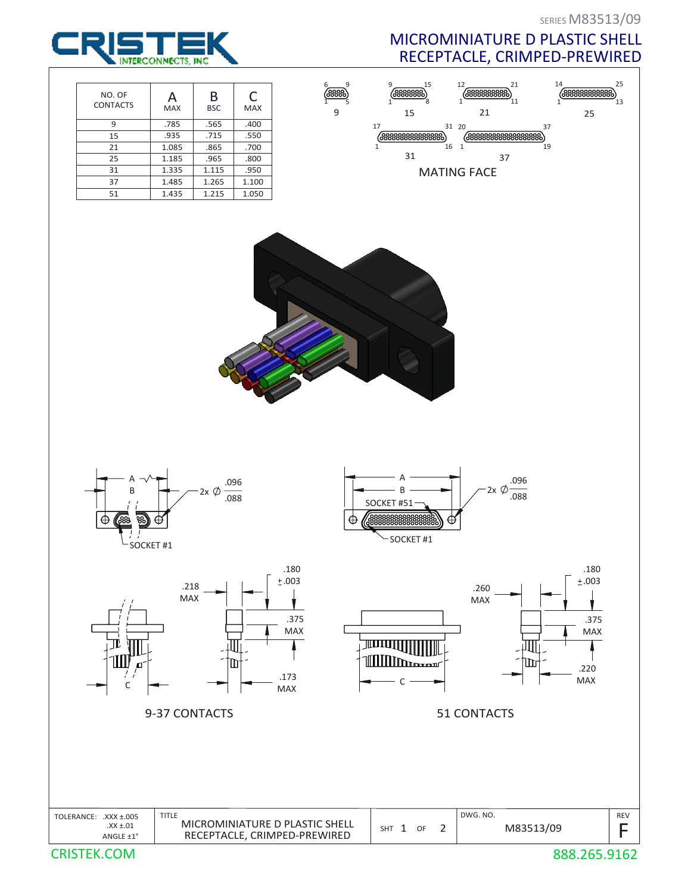25

25

1

,<br>19

## MICROMINIATURE D PLASTIC SHELL RECEPTACLE, CRIMPED-PREWIRED

21

,<br>11

 $\begin{array}{c} 0 \\ 37 \\ 6888888888888888889 \end{array}$ 

 $(33333333)$ 

21

37

MATING FACE

1

1

20 31

16

8 15



















SHT 1 OF 2





CRISTEK.COM

REV

F